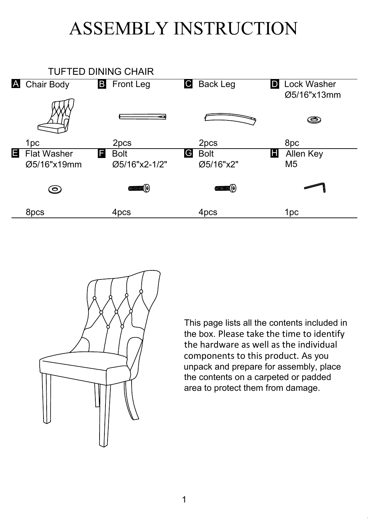## ASSEMBLY INSTRUCTION





This page lists all the contents included in the box. Please take the time to identify the hardware as well as the individual components to this product. As you unpack and prepare for assembly, place the contents on a carpeted or padded area to protect them from damage.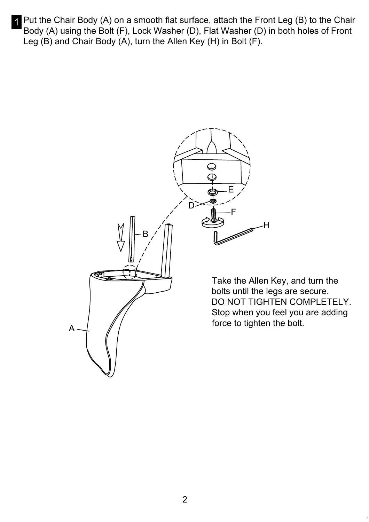Put the Chair Body (A) on a smooth flat surface, attach the Front Leg (B) to the Chair Body (A) using the Bolt (F), Lock Washer (D), Flat Washer (D) in both holes of Front Leg (B) and Chair Body (A), turn the Allen Key (H) in Bolt (F).